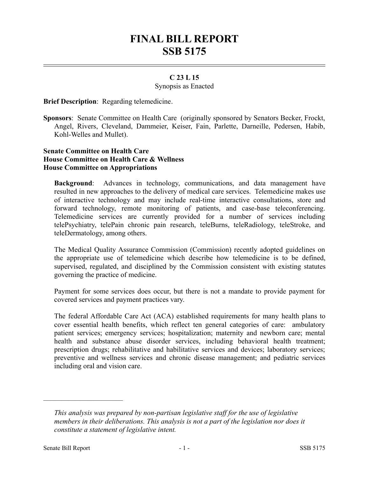# **FINAL BILL REPORT SSB 5175**

## **C 23 L 15**

#### Synopsis as Enacted

**Brief Description**: Regarding telemedicine.

**Sponsors**: Senate Committee on Health Care (originally sponsored by Senators Becker, Frockt, Angel, Rivers, Cleveland, Dammeier, Keiser, Fain, Parlette, Darneille, Pedersen, Habib, Kohl-Welles and Mullet).

### **Senate Committee on Health Care House Committee on Health Care & Wellness House Committee on Appropriations**

**Background**: Advances in technology, communications, and data management have resulted in new approaches to the delivery of medical care services. Telemedicine makes use of interactive technology and may include real-time interactive consultations, store and forward technology, remote monitoring of patients, and case-base teleconferencing. Telemedicine services are currently provided for a number of services including telePsychiatry, telePain chronic pain research, teleBurns, teleRadiology, teleStroke, and teleDermatology, among others.

The Medical Quality Assurance Commission (Commission) recently adopted guidelines on the appropriate use of telemedicine which describe how telemedicine is to be defined, supervised, regulated, and disciplined by the Commission consistent with existing statutes governing the practice of medicine.

Payment for some services does occur, but there is not a mandate to provide payment for covered services and payment practices vary.

The federal Affordable Care Act (ACA) established requirements for many health plans to cover essential health benefits, which reflect ten general categories of care: ambulatory patient services; emergency services; hospitalization; maternity and newborn care; mental health and substance abuse disorder services, including behavioral health treatment; prescription drugs; rehabilitative and habilitative services and devices; laboratory services; preventive and wellness services and chronic disease management; and pediatric services including oral and vision care.

––––––––––––––––––––––

*This analysis was prepared by non-partisan legislative staff for the use of legislative members in their deliberations. This analysis is not a part of the legislation nor does it constitute a statement of legislative intent.*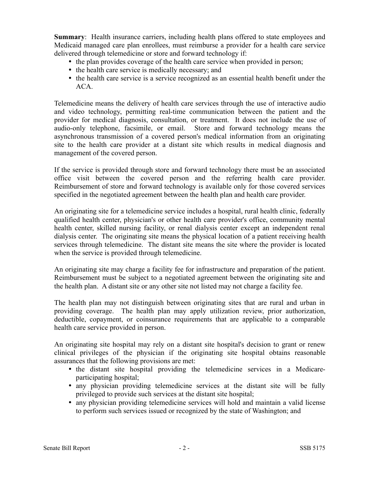**Summary:** Health insurance carriers, including health plans offered to state employees and Medicaid managed care plan enrollees, must reimburse a provider for a health care service delivered through telemedicine or store and forward technology if:

- the plan provides coverage of the health care service when provided in person;
- the health care service is medically necessary; and
- the health care service is a service recognized as an essential health benefit under the ACA.

Telemedicine means the delivery of health care services through the use of interactive audio and video technology, permitting real-time communication between the patient and the provider for medical diagnosis, consultation, or treatment. It does not include the use of audio-only telephone, facsimile, or email. Store and forward technology means the asynchronous transmission of a covered person's medical information from an originating site to the health care provider at a distant site which results in medical diagnosis and management of the covered person.

If the service is provided through store and forward technology there must be an associated office visit between the covered person and the referring health care provider. Reimbursement of store and forward technology is available only for those covered services specified in the negotiated agreement between the health plan and health care provider.

An originating site for a telemedicine service includes a hospital, rural health clinic, federally qualified health center, physician's or other health care provider's office, community mental health center, skilled nursing facility, or renal dialysis center except an independent renal dialysis center. The originating site means the physical location of a patient receiving health services through telemedicine. The distant site means the site where the provider is located when the service is provided through telemedicine.

An originating site may charge a facility fee for infrastructure and preparation of the patient. Reimbursement must be subject to a negotiated agreement between the originating site and the health plan. A distant site or any other site not listed may not charge a facility fee.

The health plan may not distinguish between originating sites that are rural and urban in providing coverage. The health plan may apply utilization review, prior authorization, deductible, copayment, or coinsurance requirements that are applicable to a comparable health care service provided in person.

An originating site hospital may rely on a distant site hospital's decision to grant or renew clinical privileges of the physician if the originating site hospital obtains reasonable assurances that the following provisions are met:

- the distant site hospital providing the telemedicine services in a Medicareparticipating hospital;
- any physician providing telemedicine services at the distant site will be fully privileged to provide such services at the distant site hospital;
- any physician providing telemedicine services will hold and maintain a valid license to perform such services issued or recognized by the state of Washington; and